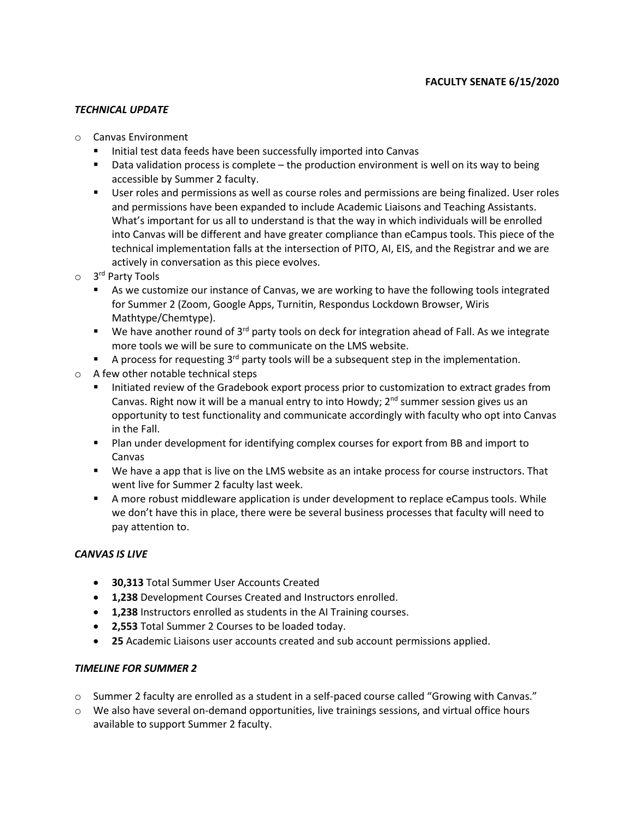### *TECHNICAL UPDATE*

- o Canvas Environment
	- Initial test data feeds have been successfully imported into Canvas
	- Data validation process is complete the production environment is well on its way to being accessible by Summer 2 faculty.
	- User roles and permissions as well as course roles and permissions are being finalized. User roles and permissions have been expanded to include Academic Liaisons and Teaching Assistants. What's important for us all to understand is that the way in which individuals will be enrolled into Canvas will be different and have greater compliance than eCampus tools. This piece of the technical implementation falls at the intersection of PITO, AI, EIS, and the Registrar and we are actively in conversation as this piece evolves.
- o 3 rd Party Tools
	- As we customize our instance of Canvas, we are working to have the following tools integrated for Summer 2 (Zoom, Google Apps, Turnitin, Respondus Lockdown Browser, Wiris Mathtype/Chemtype).
	- $\blacksquare$  We have another round of 3<sup>rd</sup> party tools on deck for integration ahead of Fall. As we integrate more tools we will be sure to communicate on the LMS website.
	- **E** A process for requesting  $3^{rd}$  party tools will be a subsequent step in the implementation.
- o A few other notable technical steps
	- Initiated review of the Gradebook export process prior to customization to extract grades from Canvas. Right now it will be a manual entry to into Howdy;  $2<sup>nd</sup>$  summer session gives us an opportunity to test functionality and communicate accordingly with faculty who opt into Canvas in the Fall.
	- Plan under development for identifying complex courses for export from BB and import to Canvas
	- We have a app that is live on the LMS website as an intake process for course instructors. That went live for Summer 2 faculty last week.
	- A more robust middleware application is under development to replace eCampus tools. While we don't have this in place, there were be several business processes that faculty will need to pay attention to.

### *CANVAS IS LIVE*

- **30,313** Total Summer User Accounts Created
- **1,238** Development Courses Created and Instructors enrolled.
- **1,238** Instructors enrolled as students in the AI Training courses.
- **2,553** Total Summer 2 Courses to be loaded today.
- **25** Academic Liaisons user accounts created and sub account permissions applied.

### *TIMELINE FOR SUMMER 2*

- o Summer 2 faculty are enrolled as a student in a self-paced course called "Growing with Canvas."
- o We also have several on-demand opportunities, live trainings sessions, and virtual office hours available to support Summer 2 faculty.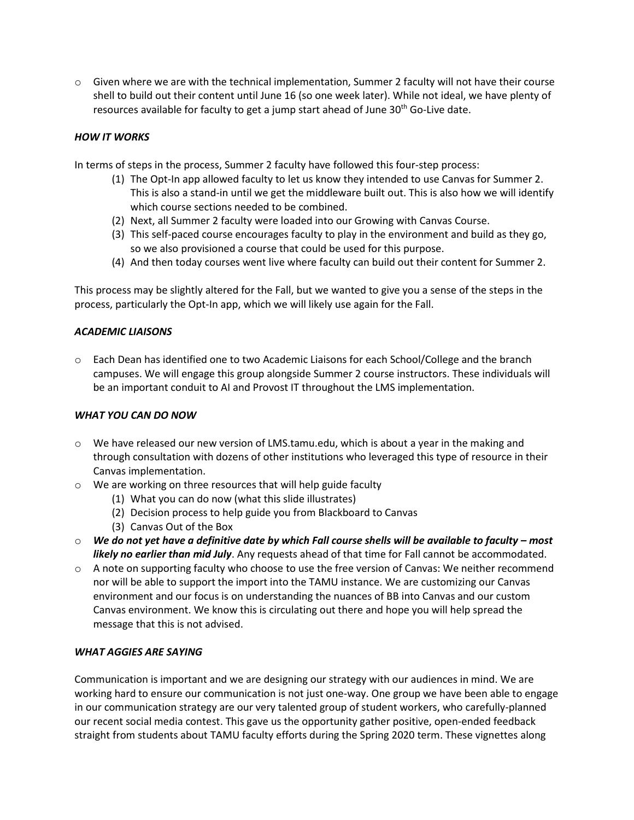$\circ$  Given where we are with the technical implementation, Summer 2 faculty will not have their course shell to build out their content until June 16 (so one week later). While not ideal, we have plenty of resources available for faculty to get a jump start ahead of June  $30<sup>th</sup>$  Go-Live date.

# *HOW IT WORKS*

In terms of steps in the process, Summer 2 faculty have followed this four-step process:

- (1) The Opt-In app allowed faculty to let us know they intended to use Canvas for Summer 2. This is also a stand-in until we get the middleware built out. This is also how we will identify which course sections needed to be combined.
- (2) Next, all Summer 2 faculty were loaded into our Growing with Canvas Course.
- (3) This self-paced course encourages faculty to play in the environment and build as they go, so we also provisioned a course that could be used for this purpose.
- (4) And then today courses went live where faculty can build out their content for Summer 2.

This process may be slightly altered for the Fall, but we wanted to give you a sense of the steps in the process, particularly the Opt-In app, which we will likely use again for the Fall.

### *ACADEMIC LIAISONS*

o Each Dean has identified one to two Academic Liaisons for each School/College and the branch campuses. We will engage this group alongside Summer 2 course instructors. These individuals will be an important conduit to AI and Provost IT throughout the LMS implementation.

### *WHAT YOU CAN DO NOW*

- $\circ$  We have released our new version of LMS.tamu.edu, which is about a year in the making and through consultation with dozens of other institutions who leveraged this type of resource in their Canvas implementation.
- o We are working on three resources that will help guide faculty
	- (1) What you can do now (what this slide illustrates)
	- (2) Decision process to help guide you from Blackboard to Canvas
	- (3) Canvas Out of the Box
- o *We do not yet have a definitive date by which Fall course shells will be available to faculty – most likely no earlier than mid July*. Any requests ahead of that time for Fall cannot be accommodated.
- $\circ$  A note on supporting faculty who choose to use the free version of Canvas: We neither recommend nor will be able to support the import into the TAMU instance. We are customizing our Canvas environment and our focus is on understanding the nuances of BB into Canvas and our custom Canvas environment. We know this is circulating out there and hope you will help spread the message that this is not advised.

### *WHAT AGGIES ARE SAYING*

Communication is important and we are designing our strategy with our audiences in mind. We are working hard to ensure our communication is not just one-way. One group we have been able to engage in our communication strategy are our very talented group of student workers, who carefully-planned our recent social media contest. This gave us the opportunity gather positive, open-ended feedback straight from students about TAMU faculty efforts during the Spring 2020 term. These vignettes along